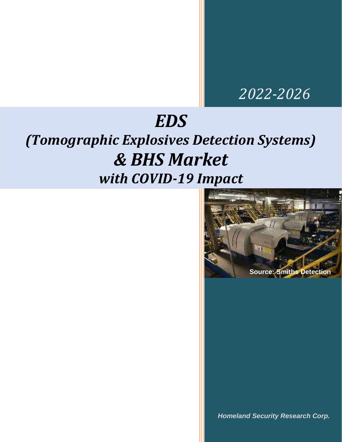## *2022-2026*

# *EDS*

# *(Tomographic Explosives Detection Systems) & BHS Market with COVID-19 Impact*



*Homeland Security Research Corp.*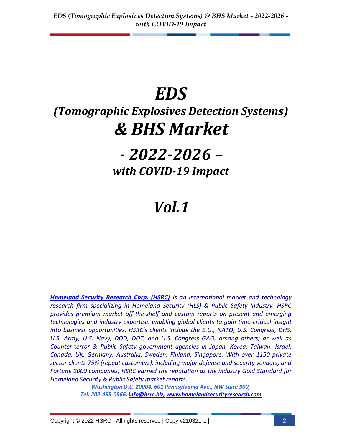# *EDS*

# *(Tomographic Explosives Detection Systems) & BHS Market*

## *- 2022-2026 – with COVID-19 Impact*

## *Vol.1*

*[Homeland Security Research Corp. \(HSRC\)](http://www.homelandsecurityresearch.com/) is an international market and technology research firm specializing in Homeland Security (HLS) & Public Safety Industry. HSRC provides premium market off-the-shelf and custom reports on present and emerging technologies and industry expertise, enabling global clients to gain time-critical insight into business opportunities. HSRC's clients include the E.U., NATO, U.S. Congress, DHS, U.S. Army, U.S. Navy, DOD, DOT, and U.S. Congress GAO, among others; as well as Counter-terror & Public Safety government agencies in Japan, Korea, Taiwan, Israel, Canada, UK, Germany, Australia, Sweden, Finland, Singapore. With over 1150 private sector clients 75% (repeat customers), including major defense and security vendors, and Fortune 2000 companies, HSRC earned the reputation as the industry Gold Standard for Homeland Security & Public Safety market reports.* 

> *Washington D.C. 20004, 601 Pennsylvania Ave., NW Suite 900, Tel: 202-455-0966, [info@hsrc.biz,](mailto:info@hsrc.biz) [www.homelandsecurityresearch.com](http://www.homelandsecurityresearch.com/)*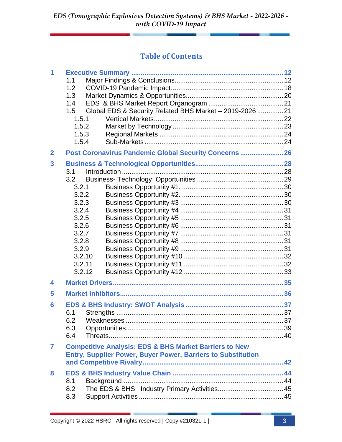#### **Table of Contents**

| 1            | 1.1<br>1.2<br>1.3<br>1.4<br>1.5<br>1.5.1<br>1.5.2<br>1.5.3<br>1.5.4                                                       | Global EDS & Security Related BHS Market - 2019-2026  21                                                                                 |  |
|--------------|---------------------------------------------------------------------------------------------------------------------------|------------------------------------------------------------------------------------------------------------------------------------------|--|
| $\mathbf{2}$ |                                                                                                                           | Post Coronavirus Pandemic Global Security Concerns  26                                                                                   |  |
| 3            | 3.1<br>3.2<br>3.2.1<br>3.2.2<br>3.2.3<br>3.2.4<br>3.2.5<br>3.2.6<br>3.2.7<br>3.2.8<br>3.2.9<br>3.2.10<br>3.2.11<br>3.2.12 |                                                                                                                                          |  |
| 4            |                                                                                                                           |                                                                                                                                          |  |
| 5            |                                                                                                                           |                                                                                                                                          |  |
| 6            | 6.1<br>6.2<br>6.3<br>6.4                                                                                                  |                                                                                                                                          |  |
| 7            |                                                                                                                           | <b>Competitive Analysis: EDS &amp; BHS Market Barriers to New</b><br><b>Entry, Supplier Power, Buyer Power, Barriers to Substitution</b> |  |
| 8            | 8.1<br>8.2<br>8.3                                                                                                         |                                                                                                                                          |  |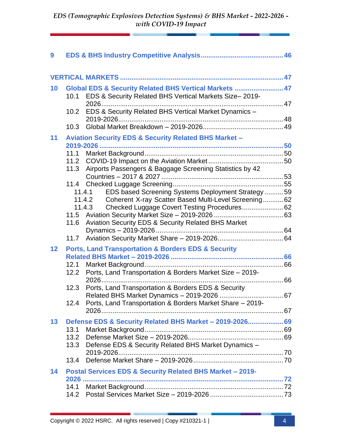| 9  |      |                                                                    |    |  |
|----|------|--------------------------------------------------------------------|----|--|
|    |      |                                                                    |    |  |
| 10 |      | Global EDS & Security Related BHS Vertical Markets  47             |    |  |
|    |      | 10.1 EDS & Security Related BHS Vertical Markets Size-2019-        |    |  |
|    |      |                                                                    |    |  |
|    | 10.2 | EDS & Security Related BHS Vertical Market Dynamics -              |    |  |
|    |      |                                                                    |    |  |
|    | 10.3 |                                                                    |    |  |
| 11 |      | <b>Aviation Security EDS &amp; Security Related BHS Market -</b>   |    |  |
|    |      |                                                                    |    |  |
|    | 11.1 |                                                                    |    |  |
|    | 11.2 |                                                                    |    |  |
|    | 11.3 | Airports Passengers & Baggage Screening Statistics by 42           |    |  |
|    |      |                                                                    |    |  |
|    |      | EDS based Screening Systems Deployment Strategy59<br>11.4.1        |    |  |
|    |      | Coherent X-ray Scatter Based Multi-Level Screening 62<br>11.4.2    |    |  |
|    |      | Checked Luggage Covert Testing Procedures 62<br>11.4.3             |    |  |
|    |      |                                                                    |    |  |
|    | 11.6 | Aviation Security EDS & Security Related BHS Market                |    |  |
|    |      |                                                                    |    |  |
|    | 11.7 |                                                                    |    |  |
| 12 |      | <b>Ports, Land Transportation &amp; Borders EDS &amp; Security</b> |    |  |
|    |      |                                                                    |    |  |
|    | 12.1 |                                                                    |    |  |
|    | 12.2 | Ports, Land Transportation & Borders Market Size - 2019-           |    |  |
|    |      |                                                                    |    |  |
|    | 12.3 | Ports, Land Transportation & Borders EDS & Security                |    |  |
|    |      | Related BHS Market Dynamics - 2019-2026.                           | 67 |  |
|    | 12.4 | Ports, Land Transportation & Borders Market Share - 2019-          |    |  |
|    |      |                                                                    |    |  |
| 13 |      | Defense EDS & Security Related BHS Market - 2019-2026 69           |    |  |
|    | 13.1 |                                                                    |    |  |
|    | 13.2 |                                                                    |    |  |
|    | 13.3 | Defense EDS & Security Related BHS Market Dynamics -               |    |  |
|    | 13.4 |                                                                    |    |  |
|    |      |                                                                    |    |  |
| 14 |      | Postal Services EDS & Security Related BHS Market - 2019-          |    |  |
|    |      |                                                                    |    |  |
|    | 14.1 |                                                                    |    |  |
|    | 14.2 |                                                                    |    |  |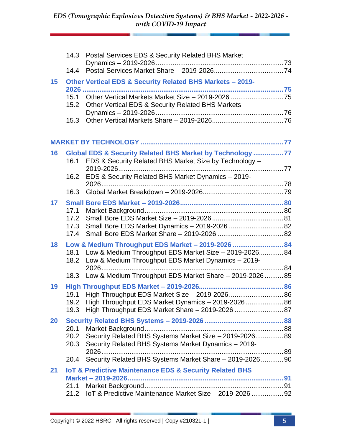|                 | 14.3                 | Postal Services EDS & Security Related BHS Market                                                                                                                   |  |
|-----------------|----------------------|---------------------------------------------------------------------------------------------------------------------------------------------------------------------|--|
|                 | 14.4                 |                                                                                                                                                                     |  |
| 15              |                      | Other Vertical EDS & Security Related BHS Markets - 2019-                                                                                                           |  |
|                 | 15.1<br>15.2         | Other Vertical EDS & Security Related BHS Markets                                                                                                                   |  |
|                 | 15.3                 |                                                                                                                                                                     |  |
|                 |                      |                                                                                                                                                                     |  |
| 16              | 16.1                 | Global EDS & Security Related BHS Market by Technology 77<br>EDS & Security Related BHS Market Size by Technology -                                                 |  |
|                 | 16.2                 | EDS & Security Related BHS Market Dynamics - 2019-                                                                                                                  |  |
|                 | 16.3                 |                                                                                                                                                                     |  |
| 17 <sup>2</sup> | 17.1<br>17.2         |                                                                                                                                                                     |  |
|                 | 17.3<br>17.4         | Small Bore EDS Market Dynamics - 2019-2026  82                                                                                                                      |  |
| 18              | 18.1<br>18.2         | Low & Medium Throughput EDS Market - 2019-2026  84<br>Low & Medium Throughput EDS Market Size - 2019-2026 84<br>Low & Medium Throughput EDS Market Dynamics - 2019- |  |
|                 |                      | 18.3 Low & Medium Throughput EDS Market Share - 2019-202685                                                                                                         |  |
| 19              | 19.1<br>19.3         | High Throughput EDS Market Size - 2019-2026 86<br>19.2 High Throughput EDS Market Dynamics - 2019-2026  86<br>High Throughput EDS Market Share - 2019-2026 87       |  |
| 20              |                      |                                                                                                                                                                     |  |
|                 | 20.1<br>20.2<br>20.3 | Security Related BHS Systems Market Size - 2019-2026 89<br>Security Related BHS Systems Market Dynamics - 2019-                                                     |  |
|                 | 20.4                 | Security Related BHS Systems Market Share - 2019-2026 90                                                                                                            |  |
| 21              |                      | <b>IoT &amp; Predictive Maintenance EDS &amp; Security Related BHS</b>                                                                                              |  |
|                 | 21.1<br>21.2         | IoT & Predictive Maintenance Market Size - 2019-2026  92                                                                                                            |  |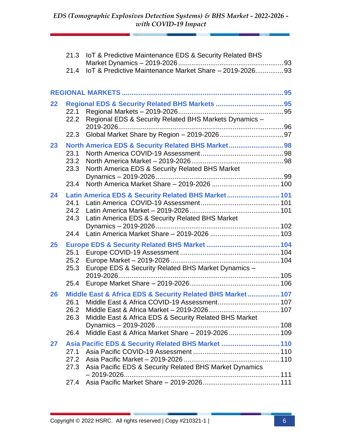| 21.3         | IoT & Predictive Maintenance EDS & Security Related BHS    |  |
|--------------|------------------------------------------------------------|--|
| 21.4         | IoT & Predictive Maintenance Market Share - 2019-202693    |  |
|              |                                                            |  |
| 22           |                                                            |  |
| 22.1<br>22.2 | Regional EDS & Security Related BHS Markets Dynamics -     |  |
| 22.3         |                                                            |  |
| 23           | North America EDS & Security Related BHS Market 98         |  |
| 23.1<br>23.2 |                                                            |  |
| 23.3         | North America EDS & Security Related BHS Market            |  |
| 23.4         |                                                            |  |
| 24           | Latin America EDS & Security Related BHS Market 101        |  |
| 24.1         |                                                            |  |
| 24.2         |                                                            |  |
| 24.3         | Latin America EDS & Security Related BHS Market            |  |
|              |                                                            |  |
| 24.4         |                                                            |  |
| 25           |                                                            |  |
| 25.1<br>25.2 |                                                            |  |
| 25.3         | Europe EDS & Security Related BHS Market Dynamics -        |  |
|              |                                                            |  |
| 25.4         |                                                            |  |
| 26           | Middle East & Africa EDS & Security Related BHS Market 107 |  |
| 26.1         |                                                            |  |
| 26.2         |                                                            |  |
| 26.3         | Middle East & Africa EDS & Security Related BHS Market     |  |
| 26.4         |                                                            |  |
|              |                                                            |  |
| 27<br>27.1   | Asia Pacific EDS & Security Related BHS Market  110        |  |
| 27.2         |                                                            |  |
| 27.3         | Asia Pacific EDS & Security Related BHS Market Dynamics    |  |
| 27.4         |                                                            |  |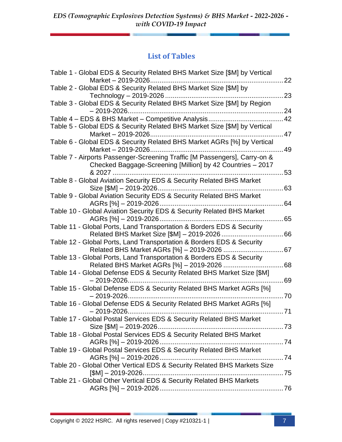### **List of Tables**

| Table 1 - Global EDS & Security Related BHS Market Size [\$M] by Vertical                                                               | 22 |
|-----------------------------------------------------------------------------------------------------------------------------------------|----|
| Table 2 - Global EDS & Security Related BHS Market Size [\$M] by                                                                        | 23 |
| Table 3 - Global EDS & Security Related BHS Market Size [\$M] by Region                                                                 | 24 |
| Table 4 - EDS & BHS Market - Competitive Analysis                                                                                       | 42 |
| Table 5 - Global EDS & Security Related BHS Market Size [\$M] by Vertical                                                               | 47 |
| Table 6 - Global EDS & Security Related BHS Market AGRs [%] by Vertical                                                                 | 49 |
| Table 7 - Airports Passenger-Screening Traffic [M Passengers], Carry-on &<br>Checked Baggage-Screening [Million] by 42 Countries - 2017 |    |
| 8.2027                                                                                                                                  | 53 |
| Table 8 - Global Aviation Security EDS & Security Related BHS Market                                                                    | 63 |
| Table 9 - Global Aviation Security EDS & Security Related BHS Market<br>AGRs [%] - 2019-2026                                            | 64 |
| Table 10 - Global Aviation Security EDS & Security Related BHS Market<br>AGRs [%] - 2019-2026                                           | 65 |
| Table 11 - Global Ports, Land Transportation & Borders EDS & Security                                                                   |    |
| Related BHS Market Size [\$M] - 2019-2026<br>Table 12 - Global Ports, Land Transportation & Borders EDS & Security                      | 66 |
| Table 13 - Global Ports, Land Transportation & Borders EDS & Security                                                                   |    |
| Related BHS Market AGRs [%] - 2019-2026<br>Table 14 - Global Defense EDS & Security Related BHS Market Size [\$M]                       | 68 |
|                                                                                                                                         | 69 |
| Table 15 - Global Defense EDS & Security Related BHS Market AGRs [%]                                                                    | 70 |
| Table 16 - Global Defense EDS & Security Related BHS Market AGRs [%]<br>$-2019 - 2026.$                                                 | 71 |
| Table 17 - Global Postal Services EDS & Security Related BHS Market<br>Size [\$M] - 2019-2026                                           |    |
| Table 18 - Global Postal Services EDS & Security Related BHS Market                                                                     |    |
| Table 19 - Global Postal Services EDS & Security Related BHS Market                                                                     |    |
| Table 20 - Global Other Vertical EDS & Security Related BHS Markets Size                                                                |    |
| Table 21 - Global Other Vertical EDS & Security Related BHS Markets                                                                     |    |
|                                                                                                                                         |    |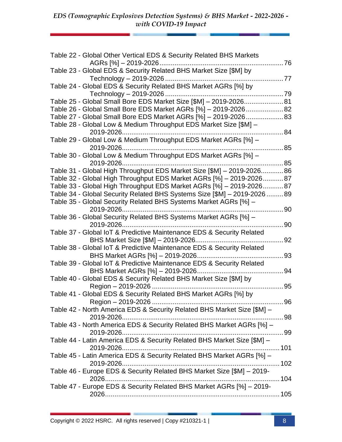| Table 22 - Global Other Vertical EDS & Security Related BHS Markets                                                                          |              |
|----------------------------------------------------------------------------------------------------------------------------------------------|--------------|
| 76                                                                                                                                           |              |
| Table 23 - Global EDS & Security Related BHS Market Size [\$M] by                                                                            |              |
|                                                                                                                                              |              |
| Table 24 - Global EDS & Security Related BHS Market AGRs [%] by                                                                              |              |
| Technology - 2019-2026                                                                                                                       | $\dots$ . 79 |
| Table 25 - Global Small Bore EDS Market Size [\$M] - 2019-2026 81                                                                            |              |
| Table 26 - Global Small Bore EDS Market AGRs [%] - 2019-202682                                                                               |              |
| Table 27 - Global Small Bore EDS Market AGRs [%] - 2019-202683                                                                               |              |
| Table 28 - Global Low & Medium Throughput EDS Market Size [\$M] -                                                                            |              |
|                                                                                                                                              | 84           |
| Table 29 - Global Low & Medium Throughput EDS Market AGRs [%] -                                                                              |              |
|                                                                                                                                              | 85           |
| Table 30 - Global Low & Medium Throughput EDS Market AGRs [%] -                                                                              |              |
|                                                                                                                                              | 85           |
| Table 31 - Global High Throughput EDS Market Size [\$M] - 2019-202686<br>Table 32 - Global High Throughput EDS Market AGRs [%] - 2019-202687 |              |
| Table 33 - Global High Throughput EDS Market AGRs [%] - 2019-202687                                                                          |              |
| Table 34 - Global Security Related BHS Systems Size [\$M] - 2019-2026  89                                                                    |              |
| Table 35 - Global Security Related BHS Systems Market AGRs [%] -                                                                             |              |
|                                                                                                                                              | 90           |
| Table 36 - Global Security Related BHS Systems Market AGRs [%] -                                                                             |              |
|                                                                                                                                              | 90           |
| Table 37 - Global IoT & Predictive Maintenance EDS & Security Related                                                                        |              |
| BHS Market Size [\$M] - 2019-2026                                                                                                            | 92           |
| Table 38 - Global IoT & Predictive Maintenance EDS & Security Related                                                                        |              |
|                                                                                                                                              | 93           |
| Table 39 - Global IoT & Predictive Maintenance EDS & Security Related                                                                        |              |
|                                                                                                                                              | 94           |
| Table 40 - Global EDS & Security Related BHS Market Size [\$M] by                                                                            |              |
| Region - 2019-2026                                                                                                                           | 95           |
| Table 41 - Global EDS & Security Related BHS Market AGRs [%] by                                                                              |              |
|                                                                                                                                              |              |
| Table 42 - North America EDS & Security Related BHS Market Size [\$M] -                                                                      |              |
|                                                                                                                                              |              |
| Table 43 - North America EDS & Security Related BHS Market AGRs [%] -                                                                        |              |
|                                                                                                                                              |              |
| Table 44 - Latin America EDS & Security Related BHS Market Size [\$M] -                                                                      |              |
|                                                                                                                                              |              |
| Table 45 - Latin America EDS & Security Related BHS Market AGRs [%] -                                                                        |              |
|                                                                                                                                              |              |
| Table 46 - Europe EDS & Security Related BHS Market Size [\$M] - 2019-                                                                       |              |
| Table 47 - Europe EDS & Security Related BHS Market AGRs [%] - 2019-                                                                         |              |
|                                                                                                                                              |              |
|                                                                                                                                              |              |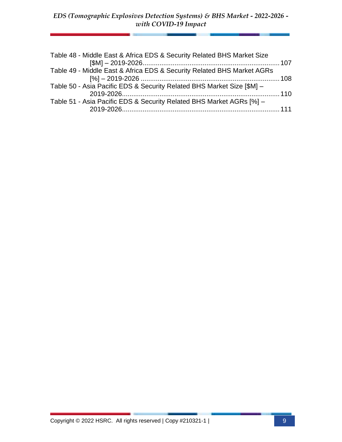| Table 48 - Middle East & Africa EDS & Security Related BHS Market Size |  |
|------------------------------------------------------------------------|--|
| Table 49 - Middle East & Africa EDS & Security Related BHS Market AGRs |  |
| Table 50 - Asia Pacific EDS & Security Related BHS Market Size [\$M] - |  |
| Table 51 - Asia Pacific EDS & Security Related BHS Market AGRs [%] -   |  |
|                                                                        |  |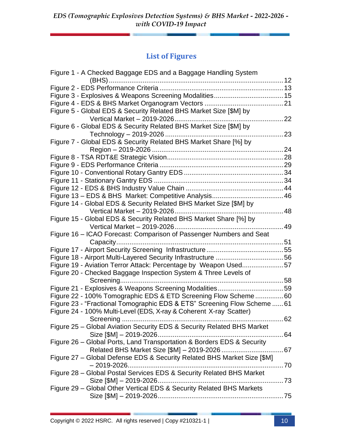### **List of Figures**

| Figure 1 - A Checked Baggage EDS and a Baggage Handling System           |     |
|--------------------------------------------------------------------------|-----|
|                                                                          |     |
|                                                                          |     |
|                                                                          |     |
|                                                                          |     |
| Figure 5 - Global EDS & Security Related BHS Market Size [\$M] by        |     |
|                                                                          | .22 |
| Figure 6 - Global EDS & Security Related BHS Market Size [\$M] by        |     |
|                                                                          | 23  |
| Figure 7 - Global EDS & Security Related BHS Market Share [%] by         |     |
|                                                                          |     |
|                                                                          |     |
|                                                                          |     |
|                                                                          |     |
|                                                                          |     |
|                                                                          |     |
|                                                                          |     |
| Figure 14 - Global EDS & Security Related BHS Market Size [\$M] by       |     |
| 48                                                                       |     |
| Figure 15 - Global EDS & Security Related BHS Market Share [%] by        |     |
|                                                                          |     |
|                                                                          |     |
| Figure 16 - ICAO Forecast: Comparison of Passenger Numbers and Seat      |     |
|                                                                          |     |
|                                                                          |     |
|                                                                          |     |
| Figure 19 - Aviation Terror Attack: Percentage by Weapon Used57          |     |
| Figure 20 - Checked Baggage Inspection System & Three Levels of          |     |
|                                                                          |     |
| Figure 21 - Explosives & Weapons Screening Modalities59                  |     |
| Figure 22 - 100% Tomographic EDS & ETD Screening Flow Scheme60           |     |
| Figure 23 - "Fractional Tomographic EDS & ETS" Screening Flow Scheme  61 |     |
| Figure 24 - 100% Multi-Level (EDS, X-ray & Coherent X-ray Scatter)       |     |
|                                                                          |     |
| Figure 25 - Global Aviation Security EDS & Security Related BHS Market   |     |
|                                                                          |     |
| Figure 26 - Global Ports, Land Transportation & Borders EDS & Security   |     |
|                                                                          |     |
| Figure 27 - Global Defense EDS & Security Related BHS Market Size [\$M]  |     |
|                                                                          |     |
| Figure 28 - Global Postal Services EDS & Security Related BHS Market     |     |
|                                                                          |     |
| Figure 29 - Global Other Vertical EDS & Security Related BHS Markets     |     |
|                                                                          |     |
|                                                                          |     |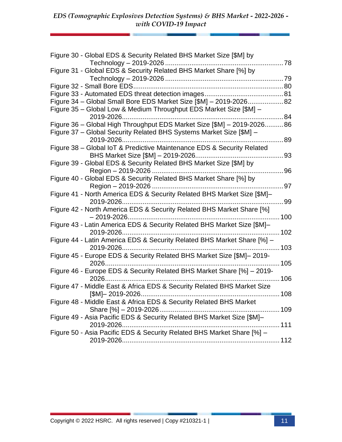| Figure 30 - Global EDS & Security Related BHS Market Size [\$M] by                                      |     |
|---------------------------------------------------------------------------------------------------------|-----|
| Figure 31 - Global EDS & Security Related BHS Market Share [%] by                                       |     |
|                                                                                                         |     |
|                                                                                                         |     |
| Figure 34 - Global Small Bore EDS Market Size [\$M] - 2019-202682                                       |     |
| Figure 35 - Global Low & Medium Throughput EDS Market Size [\$M] -                                      |     |
|                                                                                                         | .84 |
| Figure 36 - Global High Throughput EDS Market Size [\$M] - 2019-202686                                  |     |
| Figure 37 - Global Security Related BHS Systems Market Size [\$M] -                                     |     |
| 2019-2026                                                                                               | 89  |
| Figure 38 - Global IoT & Predictive Maintenance EDS & Security Related                                  | 93  |
| BHS Market Size [\$M] - 2019-2026<br>Figure 39 - Global EDS & Security Related BHS Market Size [\$M] by |     |
|                                                                                                         | 96  |
| Figure 40 - Global EDS & Security Related BHS Market Share [%] by                                       |     |
|                                                                                                         | 97  |
| Figure 41 - North America EDS & Security Related BHS Market Size [\$M]-                                 |     |
|                                                                                                         | 99  |
| Figure 42 - North America EDS & Security Related BHS Market Share [%]                                   |     |
|                                                                                                         |     |
| Figure 43 - Latin America EDS & Security Related BHS Market Size [\$M]-                                 |     |
| 2019-2026                                                                                               | 102 |
| Figure 44 - Latin America EDS & Security Related BHS Market Share [%] -                                 |     |
| 2019-2026                                                                                               | 103 |
| Figure 45 - Europe EDS & Security Related BHS Market Size [\$M]-2019-                                   |     |
|                                                                                                         |     |
| Figure 46 - Europe EDS & Security Related BHS Market Share [%] - 2019-                                  |     |
| 106                                                                                                     |     |
| Figure 47 - Middle East & Africa EDS & Security Related BHS Market Size                                 |     |
| Figure 48 - Middle East & Africa EDS & Security Related BHS Market                                      |     |
| Share [%] - 2019-2026                                                                                   |     |
| Figure 49 - Asia Pacific EDS & Security Related BHS Market Size [\$M]-                                  |     |
| 2019-2026                                                                                               | 111 |
| Figure 50 - Asia Pacific EDS & Security Related BHS Market Share [%] -                                  |     |
|                                                                                                         |     |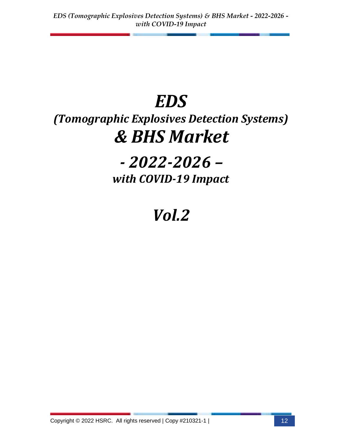# *EDS*

# *(Tomographic Explosives Detection Systems) & BHS Market*

## *- 2022-2026 – with COVID-19 Impact*

# *Vol.2*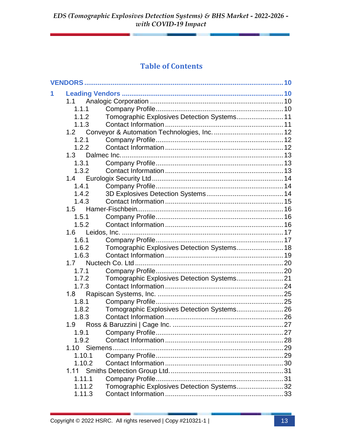### **Table of Contents**

| 1 |        |                                             |  |
|---|--------|---------------------------------------------|--|
|   | 1.1    |                                             |  |
|   | 1.1.1  |                                             |  |
|   | 1.1.2  | Tomographic Explosives Detection Systems 11 |  |
|   | 1.1.3  |                                             |  |
|   | 1.2    |                                             |  |
|   | 1.2.1  |                                             |  |
|   | 1.2.2  |                                             |  |
|   | 1.3    |                                             |  |
|   | 1.3.1  |                                             |  |
|   | 1.3.2  |                                             |  |
|   | 1.4    |                                             |  |
|   | 1.4.1  |                                             |  |
|   | 1.4.2  |                                             |  |
|   | 1.4.3  |                                             |  |
|   | 1.5    |                                             |  |
|   | 1.5.1  |                                             |  |
|   | 1.5.2  |                                             |  |
|   | 1.6    |                                             |  |
|   | 1.6.1  |                                             |  |
|   | 1.6.2  | Tomographic Explosives Detection Systems 18 |  |
|   | 1.6.3  |                                             |  |
|   | 1.7    |                                             |  |
|   | 1.7.1  |                                             |  |
|   | 1.7.2  | Tomographic Explosives Detection Systems21  |  |
|   | 1.7.3  |                                             |  |
|   | 1.8    |                                             |  |
|   | 1.8.1  |                                             |  |
|   | 1.8.2  | Tomographic Explosives Detection Systems 26 |  |
|   | 1.8.3  |                                             |  |
|   | 1.9    |                                             |  |
|   | 1.9.1  |                                             |  |
|   | 1.9.2  |                                             |  |
|   |        |                                             |  |
|   | 1.10.1 |                                             |  |
|   | 1.10.2 |                                             |  |
|   | 1.11   |                                             |  |
|   | 1.11.1 |                                             |  |
|   | 1.11.2 | Tomographic Explosives Detection Systems32  |  |
|   | 1.11.3 |                                             |  |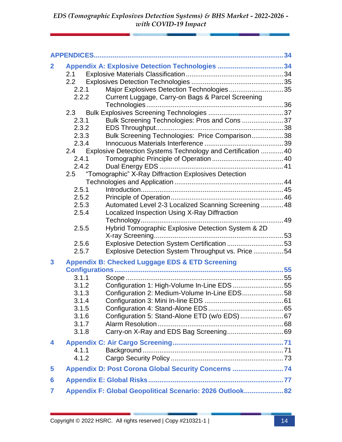| $\mathbf{2}$   |                |       | Appendix A: Explosive Detection Technologies 34              |  |
|----------------|----------------|-------|--------------------------------------------------------------|--|
|                | 2.1            |       |                                                              |  |
|                | 2.2            |       |                                                              |  |
|                | 2.2.1          |       | Major Explosives Detection Technologies35                    |  |
|                | 2.2.2          |       | Current Luggage, Carry-on Bags & Parcel Screening            |  |
|                |                |       |                                                              |  |
|                | 2.3            |       |                                                              |  |
|                | 2.3.1          |       | Bulk Screening Technologies: Pros and Cons 37                |  |
|                |                | 2.3.2 |                                                              |  |
|                |                | 2.3.3 | Bulk Screening Technologies: Price Comparison38              |  |
|                | 2.3.4          |       |                                                              |  |
|                | 2.4            |       | Explosive Detection Systems Technology and Certification  40 |  |
|                | 2.4.1<br>2.4.2 |       |                                                              |  |
|                | 2.5            |       |                                                              |  |
|                |                |       | "Tomographic" X-Ray Diffraction Explosives Detection         |  |
|                | 2.5.1          |       |                                                              |  |
|                | 2.5.2          |       |                                                              |  |
|                | 2.5.3          |       | Automated Level 2-3 Localized Scanning Screening  48         |  |
|                | 2.5.4          |       | Localized Inspection Using X-Ray Diffraction                 |  |
|                |                |       |                                                              |  |
|                | 2.5.5          |       | Hybrid Tomographic Explosive Detection System & 2D           |  |
|                |                |       |                                                              |  |
|                | 2.5.6          |       | Explosive Detection System Certification 53                  |  |
|                | 2.5.7          |       | Explosive Detection System Throughput vs. Price 54           |  |
| 3              |                |       | <b>Appendix B: Checked Luggage EDS &amp; ETD Screening</b>   |  |
|                |                |       |                                                              |  |
|                | 3.1.1          |       |                                                              |  |
|                | 3.1.2          |       | Configuration 1: High-Volume In-Line EDS 55                  |  |
|                | 3.1.3          |       | Configuration 2: Medium-Volume In-Line EDS58                 |  |
|                | 3.1.4          |       |                                                              |  |
|                | 3.1.5          |       |                                                              |  |
|                | 3.1.6          |       | Configuration 5: Stand-Alone ETD (w/o EDS)  67               |  |
|                | 3.1.7          |       |                                                              |  |
|                | 3.1.8          |       |                                                              |  |
| 4              |                |       |                                                              |  |
|                | 4.1.1          |       |                                                              |  |
|                | 4.1.2          |       |                                                              |  |
| 5              |                |       | Appendix D: Post Corona Global Security Concerns 74          |  |
| 6              |                |       |                                                              |  |
| $\overline{ }$ |                |       | Appendix F: Global Geopolitical Scenario: 2026 Outlook 82    |  |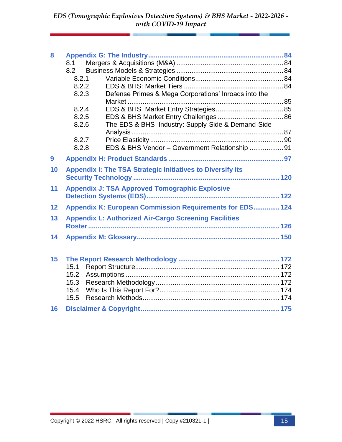| 8  |                                                                   |  |
|----|-------------------------------------------------------------------|--|
|    | 8.1                                                               |  |
|    | 8.2                                                               |  |
|    | 8.2.1                                                             |  |
|    | 8.2.2                                                             |  |
|    | 8.2.3<br>Defense Primes & Mega Corporations' Inroads into the     |  |
|    |                                                                   |  |
|    | 8.2.4                                                             |  |
|    | 8.2.5                                                             |  |
|    | The EDS & BHS Industry: Supply-Side & Demand-Side<br>8.2.6        |  |
|    |                                                                   |  |
|    | 8.2.7                                                             |  |
|    | EDS & BHS Vendor - Government Relationship 91<br>8.2.8            |  |
| 9  |                                                                   |  |
| 10 | <b>Appendix I: The TSA Strategic Initiatives to Diversify its</b> |  |
|    |                                                                   |  |
| 11 | <b>Appendix J: TSA Approved Tomographic Explosive</b>             |  |
|    |                                                                   |  |
|    |                                                                   |  |
| 12 | <b>Appendix K: European Commission Requirements for EDS 124</b>   |  |
| 13 | <b>Appendix L: Authorized Air-Cargo Screening Facilities</b>      |  |
|    |                                                                   |  |
| 14 |                                                                   |  |
|    |                                                                   |  |
|    |                                                                   |  |
| 15 |                                                                   |  |
|    | 15.1                                                              |  |
|    | 15.2                                                              |  |
|    | 15.3                                                              |  |
|    | 15.4                                                              |  |
|    | 15.5                                                              |  |
| 16 |                                                                   |  |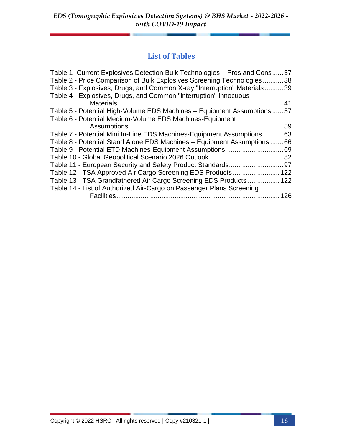### **List of Tables**

| Table 1- Current Explosives Detection Bulk Technologies - Pros and Cons. | .37 |
|--------------------------------------------------------------------------|-----|
| Table 2 - Price Comparison of Bulk Explosives Screening Technologies     | 38  |
| Table 3 - Explosives, Drugs, and Common X-ray "Interruption" Materials   | .39 |
| Table 4 - Explosives, Drugs, and Common "Interruption" Innocuous         |     |
|                                                                          | 41  |
| Table 5 - Potential High-Volume EDS Machines - Equipment Assumptions  57 |     |
| Table 6 - Potential Medium-Volume EDS Machines-Equipment                 |     |
|                                                                          | 59  |
| Table 7 - Potential Mini In-Line EDS Machines-Equipment Assumptions      | 63  |
| Table 8 - Potential Stand Alone EDS Machines - Equipment Assumptions     | .66 |
| Table 9 - Potential ETD Machines-Equipment Assumptions                   | 69  |
|                                                                          | .82 |
| Table 11 - European Security and Safety Product Standards                | 97  |
| Table 12 - TSA Approved Air Cargo Screening EDS Products                 | 122 |
| Table 13 - TSA Grandfathered Air Cargo Screening EDS Products  122       |     |
| Table 14 - List of Authorized Air-Cargo on Passenger Plans Screening     |     |
| Facilities                                                               | 126 |